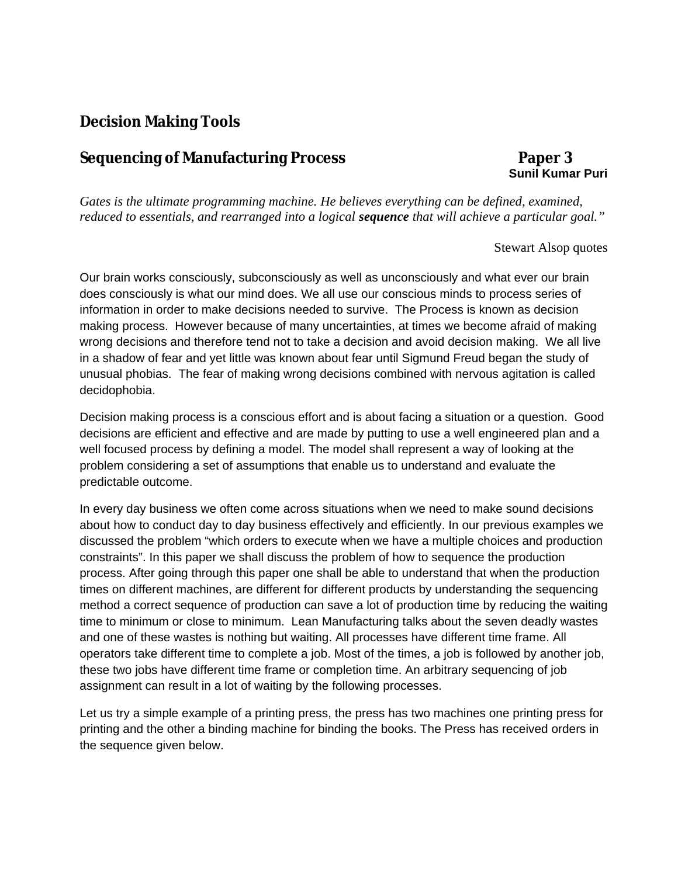## **Decision Making Tools**

## **Sequencing of Manufacturing Process Paper 3**

## **Sunil Kumar Puri**

*Gates is the ultimate programming machine. He believes everything can be defined, examined, reduced to essentials, and rearranged into a logical sequence that will achieve a particular goal."*

## Stewart Alsop quotes

Our brain works consciously, subconsciously as well as unconsciously and what ever our brain does consciously is what our mind does. We all use our conscious minds to process series of information in order to make decisions needed to survive. The Process is known as decision making process. However because of many uncertainties, at times we become afraid of making wrong decisions and therefore tend not to take a decision and avoid decision making. We all live in a shadow of fear and yet little was known about fear until Sigmund Freud began the study of unusual phobias. The fear of making wrong decisions combined with nervous agitation is called decidophobia.

Decision making process is a conscious effort and is about facing a situation or a question. Good decisions are efficient and effective and are made by putting to use a well engineered plan and a well focused process by defining a model. The model shall represent a way of looking at the problem considering a set of assumptions that enable us to understand and evaluate the predictable outcome.

In every day business we often come across situations when we need to make sound decisions about how to conduct day to day business effectively and efficiently. In our previous examples we discussed the problem "which orders to execute when we have a multiple choices and production constraints". In this paper we shall discuss the problem of how to sequence the production process. After going through this paper one shall be able to understand that when the production times on different machines, are different for different products by understanding the sequencing method a correct sequence of production can save a lot of production time by reducing the waiting time to minimum or close to minimum. Lean Manufacturing talks about the seven deadly wastes and one of these wastes is nothing but waiting. All processes have different time frame. All operators take different time to complete a job. Most of the times, a job is followed by another job, these two jobs have different time frame or completion time. An arbitrary sequencing of job assignment can result in a lot of waiting by the following processes.

Let us try a simple example of a printing press, the press has two machines one printing press for printing and the other a binding machine for binding the books. The Press has received orders in the sequence given below.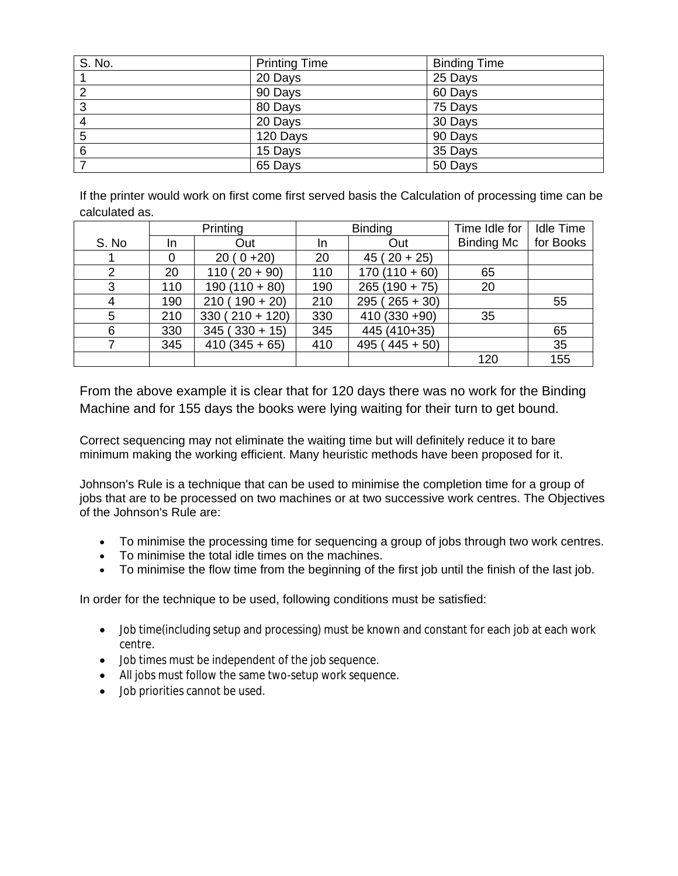| S. No.         | <b>Printing Time</b> | <b>Binding Time</b> |
|----------------|----------------------|---------------------|
|                | 20 Days              | 25 Days             |
| $\overline{2}$ | 90 Days              | 60 Days             |
| 3              | 80 Days              | 75 Days             |
| $\overline{4}$ | 20 Days              | 30 Days             |
| 5              | 120 Days             | 90 Days             |
| 6              | 15 Days              | 35 Days             |
|                | 65 Days              | 50 Days             |

If the printer would work on first come first served basis the Calculation of processing time can be calculated as.

|       |     | Printing         |     | <b>Binding</b>  | Time Idle for     | <b>Idle Time</b> |
|-------|-----|------------------|-----|-----------------|-------------------|------------------|
| S. No | In. | Out              | In. | Out             | <b>Binding Mc</b> | for Books        |
|       | 0   | $20(0+20)$       | 20  | $45(20+25)$     |                   |                  |
| 2     | 20  | $110(20+90)$     | 110 | $170(110+60)$   | 65                |                  |
| 3     | 110 | $190(110+80)$    | 190 | $265(190 + 75)$ | 20                |                  |
| 4     | 190 | $210(190+20)$    | 210 | $295(265+30)$   |                   | 55               |
| 5     | 210 | $330(210 + 120)$ | 330 | $410(330+90)$   | 35                |                  |
| 6     | 330 | $345(330+15)$    | 345 | 445 (410+35)    |                   | 65               |
|       | 345 | $410(345+65)$    | 410 | $495(445+50)$   |                   | 35               |
|       |     |                  |     |                 | 120               | 155              |

From the above example it is clear that for 120 days there was no work for the Binding Machine and for 155 days the books were lying waiting for their turn to get bound.

Correct sequencing may not eliminate the waiting time but will definitely reduce it to bare minimum making the working efficient. Many heuristic methods have been proposed for it.

Johnson's Rule is a technique that can be used to minimise the completion time for a group of jobs that are to be processed on two machines or at two successive work centres. The Objectives of the Johnson's Rule are:

- To minimise the processing time for sequencing a group of jobs through two work centres.
- To minimise the total idle times on the machines.
- To minimise the flow time from the beginning of the first job until the finish of the last job.

In order for the technique to be used, following conditions must be satisfied:

- Job time(including setup and processing) must be known and constant for each job at each work centre.
- Job times must be independent of the job sequence.
- All jobs must follow the same two-setup work sequence.
- Job priorities cannot be used.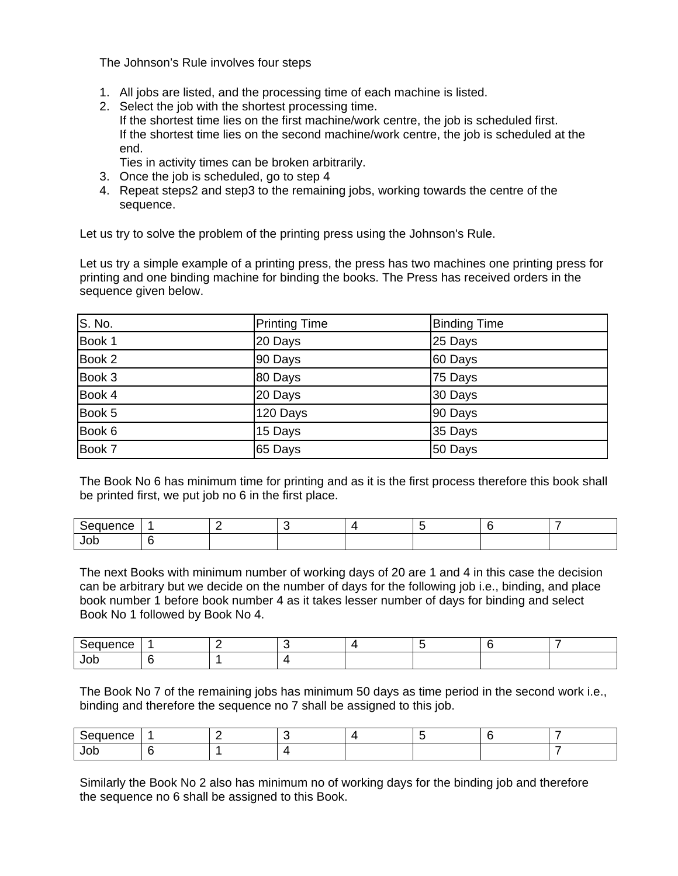The Johnson's Rule involves four steps

- 1. All jobs are listed, and the processing time of each machine is listed.
- 2. Select the job with the shortest processing time. If the shortest time lies on the first machine/work centre, the job is scheduled first. If the shortest time lies on the second machine/work centre, the job is scheduled at the end.

Ties in activity times can be broken arbitrarily.

- 3. Once the job is scheduled, go to step 4
- 4. Repeat steps2 and step3 to the remaining jobs, working towards the centre of the sequence.

Let us try to solve the problem of the printing press using the Johnson's Rule.

Let us try a simple example of a printing press, the press has two machines one printing press for printing and one binding machine for binding the books. The Press has received orders in the sequence given below.

| S. No. | <b>Printing Time</b> | <b>Binding Time</b> |
|--------|----------------------|---------------------|
| Book 1 | 20 Days              | 25 Days             |
| Book 2 | 90 Days              | 60 Days             |
| Book 3 | 80 Days              | 75 Days             |
| Book 4 | 20 Days              | 30 Days             |
| Book 5 | 120 Days             | 90 Days             |
| Book 6 | 15 Days              | 35 Days             |
| Book 7 | 65 Days              | 50 Days             |

The Book No 6 has minimum time for printing and as it is the first process therefore this book shall be printed first, we put job no 6 in the first place.

| -    | - |  |  |  |
|------|---|--|--|--|
| JOL. |   |  |  |  |

The next Books with minimum number of working days of 20 are 1 and 4 in this case the decision can be arbitrary but we decide on the number of days for the following job i.e., binding, and place book number 1 before book number 4 as it takes lesser number of days for binding and select Book No 1 followed by Book No 4.

| ----<br>ence<br>יי<br>. . |  |  |  |  |
|---------------------------|--|--|--|--|
| JOD                       |  |  |  |  |

The Book No 7 of the remaining jobs has minimum 50 days as time period in the second work i.e., binding and therefore the sequence no 7 shall be assigned to this job.

| . .<br>.   |  |  |  |  |
|------------|--|--|--|--|
| JOC<br>- - |  |  |  |  |

Similarly the Book No 2 also has minimum no of working days for the binding job and therefore the sequence no 6 shall be assigned to this Book.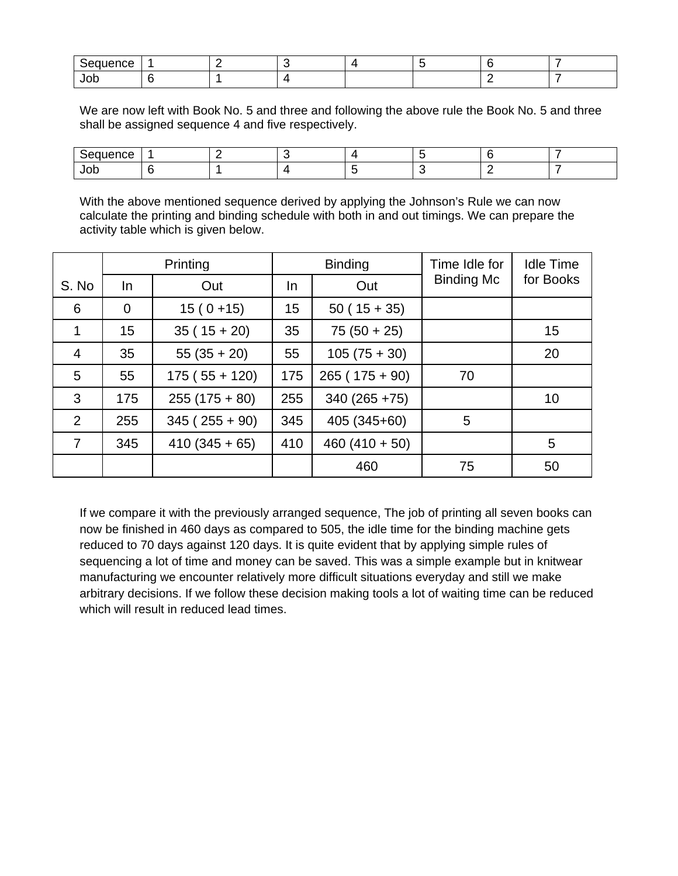| кæ   |  |  |     |  |
|------|--|--|-----|--|
| ึงบน |  |  | . . |  |

We are now left with Book No. 5 and three and following the above rule the Book No. 5 and three shall be assigned sequence 4 and five respectively.

| JOD |  |  |  |  |
|-----|--|--|--|--|

With the above mentioned sequence derived by applying the Johnson's Rule we can now calculate the printing and binding schedule with both in and out timings. We can prepare the activity table which is given below.

|                 |                | Printing      |     | <b>Binding</b>  | Time Idle for     | <b>Idle Time</b> |
|-----------------|----------------|---------------|-----|-----------------|-------------------|------------------|
| S. No           | In             | Out           | In. | Out             | <b>Binding Mc</b> | for Books        |
| 6               | $\overline{0}$ | $15(0+15)$    | 15  | $50(15+35)$     |                   |                  |
| 1               | 15             | $35(15+20)$   | 35  | $75(50+25)$     |                   | 15               |
| 4               | 35             | $55(35+20)$   | 55  | $105(75+30)$    |                   | 20               |
| $5\phantom{.0}$ | 55             | $175(55+120)$ | 175 | $265(175+90)$   | 70                |                  |
| 3               | 175            | $255(175+80)$ | 255 | $340(265+75)$   |                   | 10               |
| $\overline{2}$  | 255            | $345(255+90)$ | 345 | 405 (345+60)    | 5                 |                  |
| $\overline{7}$  | 345            | $410(345+65)$ | 410 | $460(410 + 50)$ |                   | 5                |
|                 |                |               |     | 460             | 75                | 50               |

If we compare it with the previously arranged sequence, The job of printing all seven books can now be finished in 460 days as compared to 505, the idle time for the binding machine gets reduced to 70 days against 120 days. It is quite evident that by applying simple rules of sequencing a lot of time and money can be saved. This was a simple example but in knitwear manufacturing we encounter relatively more difficult situations everyday and still we make arbitrary decisions. If we follow these decision making tools a lot of waiting time can be reduced which will result in reduced lead times.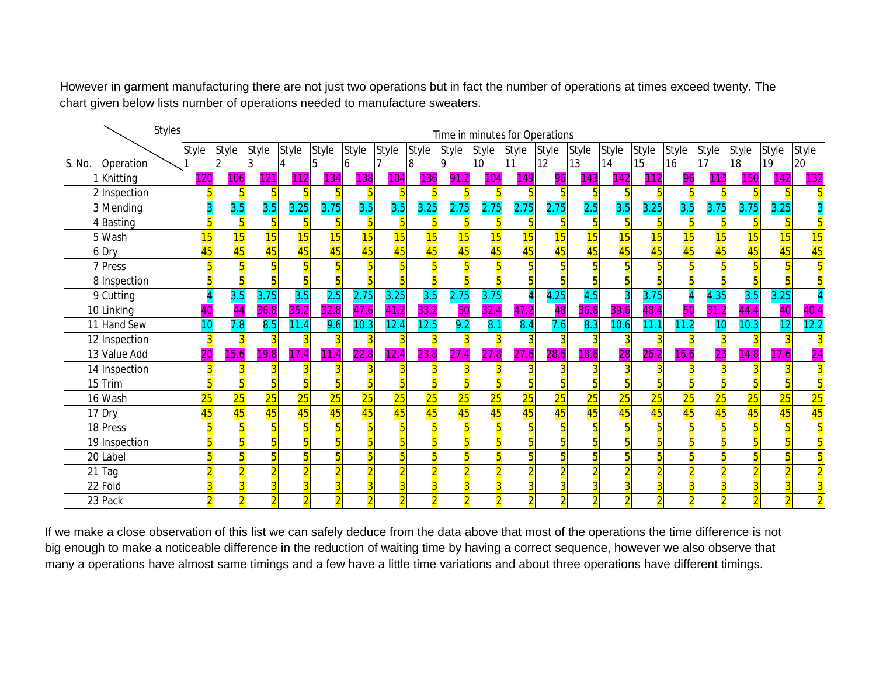However in garment manufacturing there are not just two operations but in fact the number of operations at times exceed twenty. The chart given below lists number of operations needed to manufacture sweaters.

|        |               | <b>Styles</b> |                | Time in minutes for Operations |       |       |              |       |       |                |                |                 |              |       |                |                |                         |                |       |       |       |              |
|--------|---------------|---------------|----------------|--------------------------------|-------|-------|--------------|-------|-------|----------------|----------------|-----------------|--------------|-------|----------------|----------------|-------------------------|----------------|-------|-------|-------|--------------|
|        |               |               | Style          | <b>Style</b>                   | Style | Style | <b>Style</b> | Style | Style | <b>Style</b>   | Style          | Style           | <b>Style</b> | Style | Style          | Style          | <b>Style</b>            | <b>Style</b>   | Style | Style | Style | <b>Style</b> |
| S. No. | Operation     |               |                |                                |       |       | b            | h     |       | 18             | 9              | 10 <sup>1</sup> | <b>11</b>    | 12    | 13             | 14             | 15                      | 16             | 17    | 18    | 19    | 20           |
|        | 1 Knitting    |               | 120            | 106                            | 121   | 112   | 134          | 138   | 104   | 136            | 91<br>.2       | 104             | 149          | 96    | 143            | 142            | 112                     | 96             | 113   | 150   | 142   | 132          |
|        | 2 Inspection  |               |                |                                |       |       |              |       |       |                |                |                 |              |       |                |                | 5                       | Б              |       |       |       |              |
|        | 3 Mending     |               |                | 3.5                            | 3.5   | 3.25  | 3.75         | 3.5   | 3.5   | 3.25           | 2.75           | 2.75            | 2.75         | 2.75  | 2.5            | 3.5            | 3.25                    | 3.5            | 3.75  | 3.75  | 3.25  |              |
|        | 4Basting      |               | 5              |                                |       |       |              |       |       | 5              |                |                 |              |       |                |                | 5                       |                |       |       |       |              |
|        | 5 Wash        |               | 15             | 15                             | 15    | 15    | 15           | 15    | 15    | 15             | 15             | 15              | 15           | 15    | 15             | 15             | 15                      | 15             | 15    | 15    | 15    | 15           |
|        | 6Dry          |               | 45             | 45                             | 45    | 45    | 45           | 45    | 45    | 45             | 45             | 45              | 45           | 45    | 45             | 45             | 45                      | 45             | 45    | 45    | 45    | 45           |
|        | 7 Press       |               | $\overline{5}$ |                                |       |       |              |       |       | $\overline{5}$ | $\overline{5}$ |                 |              |       | $\overline{5}$ |                | $\overline{\mathbf{5}}$ | 5              |       |       |       |              |
|        | 8 Inspection  |               | $\overline{5}$ |                                | 5     |       |              | 占     |       | $\overline{5}$ | 5              |                 |              |       |                |                | $\overline{\mathbf{5}}$ | 5              |       | 5     |       |              |
|        | 9 Cutting     |               |                | 3.5                            | 3.75  | 3.5   | 2.5          | 2.75  | 3.25  | 3.5            | 2.75           | 3.75            |              | 4.25  | 4.5            |                | 3.75                    |                | 4.35  | 3.5   | 3.25  |              |
|        | 10 Linking    |               | 40             | 44                             | 36.8  | 35.   | 32.8         | 47.6  | 41.2  | 33.2           | 50             | 32.4            | 47.2         | 48    | 36.8           | 39.<br>.61     | 48.                     | 50             | 31.2  | 44.4  | 40    | 40.4         |
|        | 11 Hand Sew   |               | 10             | 7.8                            | 8.5   | 11.4  | 9.6          | 10.3  | 12.4  | 12.5           | 9.2            | 8.1             | 8.4          | 7.6   | 8.3            | 10.6           | 11.1                    | 11.2           | 10    | 10.3  | 12    | 12.2         |
|        | 12 Inspection |               | $\overline{3}$ |                                |       |       |              |       |       | $\overline{3}$ |                |                 |              |       |                |                | 3                       |                |       |       |       |              |
|        | 13 Value Add  |               | 20             | 15.6                           | 19.8  | 17.4  | 11<br>4      | 22.8  | 12.4  | 23.8           | 27.4           | 27.8            | 27.6         | 28.6  | 18.6           | 28             | 26.2                    | 16.6           | 23    | 14.8  | 17.6  | 24           |
|        | 14 Inspection |               |                |                                |       |       |              |       |       | 3              |                |                 |              |       |                |                | 3                       |                |       |       |       |              |
|        | $15$ Trim     |               | $\overline{5}$ |                                |       |       |              | - 5   |       | $\overline{5}$ |                |                 |              |       |                |                | $\overline{5}$          |                |       |       |       |              |
|        | 16 Wash       |               | 25             | 25                             | 25    | 25    | 25           | 25    | 25    | 25             | 25             | 25              | 25           | 25    | 25             | 25             | 25                      | 25             | 25    | 25    | 25    | 25           |
|        | 17 Dry        |               | 45             | 45                             | 45    | 45    | 45           | 45    | 45    | 45             | 45             | 45              | 45           | 45    | 45             | 45             | 45                      | 45             | 45    | 45    | 45    | 45           |
|        | 18 Press      |               | $\overline{5}$ |                                |       |       |              |       |       | $\overline{5}$ |                |                 |              |       |                |                | $\overline{5}$          |                |       |       |       |              |
|        | 19 Inspection |               | 5              |                                |       |       |              |       |       | 5              | 5              |                 |              |       |                |                | 5                       |                |       |       |       |              |
|        | 20 Label      |               | $\overline{5}$ |                                | 5     |       |              | 片     |       | $\overline{5}$ | 5              |                 | 5            |       |                |                | $\overline{\mathbf{5}}$ | $\overline{5}$ |       | 5     |       |              |
|        | $21$ Tag      |               | $\overline{2}$ |                                |       |       |              |       |       | $\overline{2}$ |                |                 |              |       |                |                | $\overline{2}$          | $\overline{2}$ |       |       |       |              |
|        | 22 Fold       |               | $\overline{3}$ |                                |       |       |              |       |       | $\overline{3}$ |                |                 |              |       |                |                | $\overline{3}$          | $\overline{3}$ |       |       |       |              |
|        | 23 Pack       |               | $\overline{2}$ |                                |       |       |              |       |       | $\overline{2}$ | $\overline{2}$ |                 |              |       | $\overline{2}$ | $\overline{2}$ | $\overline{2}$          | $\overline{2}$ |       |       |       |              |

If we make a close observation of this list we can safely deduce from the data above that most of the operations the time difference is not big enough to make a noticeable difference in the reduction of waiting time by having a correct sequence, however we also observe that many a operations have almost same timings and a few have a little time variations and about three operations have different timings.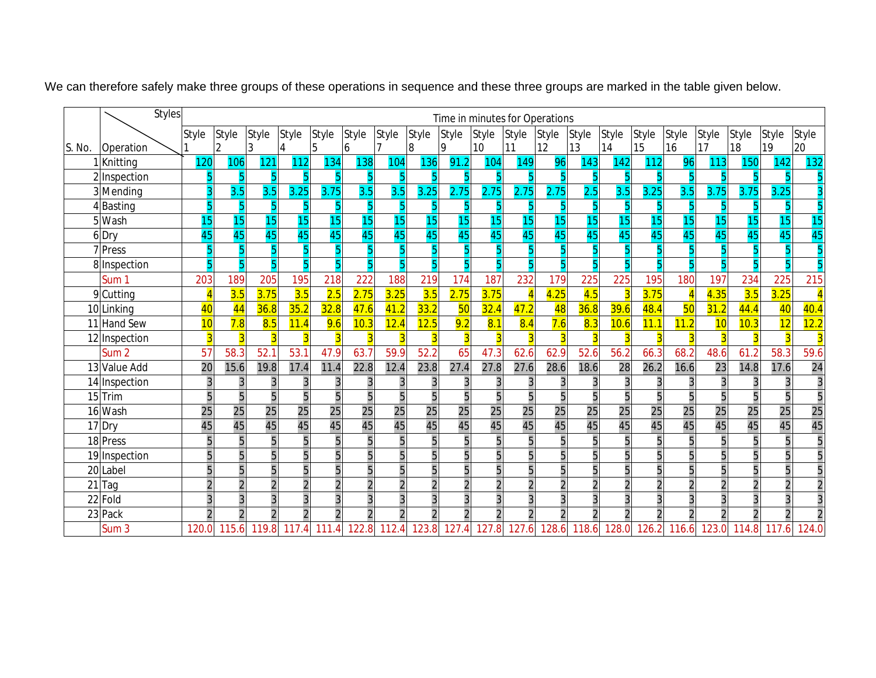|        | <b>Styles</b>          |                 | Time in minutes for Operations |                          |                |                 |                 |                 |                 |                 |                |                         |                 |                |                 |                |                 |                |                 |                 |       |
|--------|------------------------|-----------------|--------------------------------|--------------------------|----------------|-----------------|-----------------|-----------------|-----------------|-----------------|----------------|-------------------------|-----------------|----------------|-----------------|----------------|-----------------|----------------|-----------------|-----------------|-------|
|        |                        | Style           | Style                          | Style                    | Style          | Style           | <b>Style</b>    | Style           | Style           | Style           | Style          | Style                   | <b>Style</b>    | <b>Style</b>   | <b>Style</b>    | Style          | Style           | Style          | Style           | <b>Style</b>    | Style |
| S. No. | Operation              |                 | 2                              | 3                        |                | 5               | 6               |                 | 8               | 9               | 10             | 111                     | 12              | 13             | 14              | 15             | 16              | 17             | 18              | 19              | 20    |
|        | Knitting               | 120             | 106                            | 121                      | 112            | 134             | 138             | 104             | 136             | 91.2            | 104            | 149                     | 96              | 143            | 142             | 112            | 96              | 113            | 150             | 142             | 132   |
|        | 2 Inspection           |                 |                                |                          |                |                 |                 |                 |                 |                 |                |                         |                 |                |                 |                |                 |                |                 |                 |       |
|        | 3 Mending              |                 | 3.5                            | 3.5                      | 3.25           | 3.75            | 3.5             | 3.5             | 3.25            | 2.75            | 2.75           | 2.75                    | 2.75            | 2.5            | 3.5             | 3.25           | 3.5             | 3.75           | 3.75            | 3.25            |       |
|        | 4Basting               |                 |                                |                          |                |                 |                 |                 | 5               |                 |                |                         |                 |                |                 |                |                 |                |                 |                 |       |
|        | 5 Wash                 | 15              | 15                             | 15                       | 15             |                 | 15              | 15              | 15              | 15              | 15             | 15                      | 15              | 15             | 15              | 15             | 15              | 15             | 15              | 15              | 15    |
|        | 6Dry                   | 45              | 45                             | 45                       | 45             | 45              | 45              | 45              | 45              | 45              | 45             | 45                      | 45              | 45             | 45              | 45             | 45              | 45             | 45              | 45              | 45    |
|        | 7 Press                |                 |                                |                          |                |                 |                 |                 |                 |                 |                |                         |                 |                |                 |                |                 |                |                 |                 |       |
|        | 8 Inspection           |                 |                                |                          |                |                 |                 |                 | $\overline{5}$  |                 |                |                         |                 |                |                 |                |                 | 5              |                 |                 |       |
|        | Sum 1                  | 203             | 189                            | 205                      | 195            | 218             | 222             | 188             | 219             | 174             | 187            | 232                     | 179             | 225            | 225             | 195            | 180             | 197            | 234             | 225             | 215   |
|        | $\overline{9}$ Cutting |                 | 3.5                            | 3.75                     | 3.5            | 2.5             | 2.75            | 3.25            | 3.5             | 2.75            | 3.75           |                         | 4.25            | 4.5            |                 | 3.75           | $\overline{4}$  | 4.35           | 3.5             | 3.25            |       |
|        | 10 Linking             | 40              | 44                             | 36.8                     | 35.2           | 32.8            | 47.6            | 41.2            | 33.2            | 50              | 32.4           | 47.2                    | 48              | 36.8           | 39.6            | 48.4           | 50              | 31.2           | 44.4            | 40              | 40.4  |
|        | 11 Hand Sew            | 10              | 7.8                            | 8.5                      | 11.4           | 9.6             | 10.3            | 12.4            | 12.5            | 9.2             | 8.1            | 8.4                     | 7.6             | 8.3            | 10.6            | 11.1           | 11.2            | 10             | 10.3            | 12              | 12.2  |
|        | 12 Inspection          |                 |                                |                          | З              |                 |                 | 3               | B               |                 |                |                         | R               |                |                 | $\overline{3}$ |                 | 3              |                 |                 |       |
|        | Sum <sub>2</sub>       | 57              | 58.3                           | 52.1                     | 53.1           | 47.9            | 63.7            | 59.9            | 52.2            | 65              | 47.3           | 62.6                    | 62.9            | 52.6           | 56.2            | 66.3           | 68.2            | 48.6           | 61.2            | 58.3            | 59.6  |
|        | 13 Value Add           | $\overline{20}$ | 15.6                           | 19.8                     | 17.4           | 11.4            | 22.8            | 12.4            | 23.8            | 27.4            | 27.8           | 27.6                    | 28.6            | 18.6           | 28              | 26.2           | 16.6            | 23             | 14.8            | 17.6            | 24    |
|        | 14 Inspection          |                 |                                | 3                        | 3              |                 | 3               | 3               | 3               | 3               |                |                         |                 | 3              |                 | 3              | 3               | 3              |                 |                 |       |
|        | 15 Trim                |                 | 5                              | 5                        | $\overline{5}$ |                 | $\overline{5}$  | 5               | $\overline{5}$  | 5               | 5              | $\overline{5}$          | $\overline{5}$  | $\overline{5}$ |                 | $\overline{5}$ | $\overline{5}$  | $\overline{5}$ |                 | 5               | 5     |
|        | 16 Wash                | $\overline{25}$ | 25                             | $\overline{25}$          | 25             | $\overline{25}$ | $\overline{25}$ | $\overline{25}$ | $\overline{25}$ | $\overline{25}$ | 25             | 25                      | $\overline{25}$ | 25             | $\overline{25}$ | 25             | $\overline{25}$ | 25             | $\overline{25}$ | $\overline{25}$ | 25    |
|        | 17 Dry                 | 45              | 45                             | 45                       | 45             | 45              | 45              | 45              | 45              | 45              | 45             | 45                      | 45              | 45             | 45              | 45             | 45              | 45             | 45              | 45              | 45    |
|        | 18 Press               | 5               | 5                              | 5                        | 5              |                 | 5               | 5               | 5               | 5               |                | 5                       | 5               | 5              |                 | 5              | 5               | 5              |                 |                 | 5     |
|        | 19 Inspection          |                 | 5                              |                          | 5              |                 | $\overline{5}$  | 5               | 5               | 5 <sub>l</sub>  |                | 5                       | 5               | 5              |                 | 5              | 5               | 5              |                 |                 |       |
|        | 20 Label               |                 |                                |                          | 5              |                 |                 | 5               | 5               | 5               |                | 5                       | 5               | 5              |                 | 5              | 5               | 5              |                 |                 |       |
| 21     | Tag                    |                 |                                |                          | $\overline{2}$ |                 |                 | $\overline{2}$  | $\overline{2}$  |                 |                |                         |                 | $\overline{2}$ |                 |                |                 | $\overline{2}$ |                 |                 |       |
|        | 22 Fold                | 3               |                                | 3                        | 3              |                 |                 | 3               | $\overline{3}$  | 3               |                | 3                       |                 | 3              |                 | 3              | 3               | 3              |                 |                 |       |
|        | 23 Pack                |                 |                                | $\overline{\mathcal{L}}$ | $\overline{2}$ |                 | $\overline{2}$  | $\overline{2}$  | $\overline{2}$  | $\overline{2}$  | $\overline{2}$ | $\overline{2}$          | $\overline{2}$  | $\overline{2}$ |                 | $\overline{2}$ | $\overline{2}$  | $\overline{2}$ |                 |                 |       |
|        | Sum <sub>3</sub>       | 120.0           | 115.6                          | 119.8                    | 117.4          | 111.4           | 122.8           | 112.4           | 123.8           |                 |                | 127.4 127.8 127.6 128.6 |                 |                | 118.6 128.0     | 126.2          | 116.6           | 123.0          | 114.8           | 117.6           | 124.0 |

We can therefore safely make three groups of these operations in sequence and these three groups are marked in the table given below.